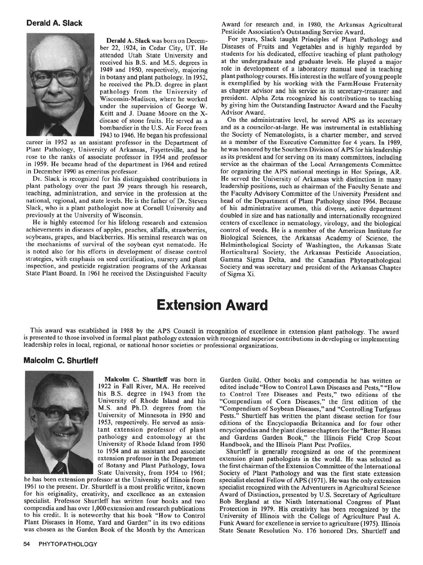## Extension Award

This award was established in 1988 by the APS Council in recognition of excellence in extension plant pathology. The award is presented to those involved in formal plant pathology extension with recognized superior contributions in developing or implementing leadership roles in local, regional, or national honor societies or professional organ

## Malcolm **C.** Shurtleff



University of Rhode Island from 1950 Handbook, and the Illinois Plant Pest Profiles.<br>to 1954 and as assistant and associate Shurtleff is generally recognized as one of

1961 to the present. Dr. Shurtleff is a most prolific writer, known specialist recognized with the Adventurers in Agricultural Science<br>for his originality, creativity, and excellence as an extension Award of Distinction, p for his originality, creativity, and excellence as an extension<br>specialist. Professor Shurtleff has written four books and two<br>Bob Bergland at the Ninth International Congress of Plant compendia and has over 1,000 extension and research publications Protection in 1979. His creativity has been recognized by the to his credit. It is noteworthy that his book "How to Control University of Illinois with the College of Agriculture Paul A. Plant Diseases in Home, Yard and Garden" in its two editions Funk Award for excellence in service to agriculture (1975). Illinois was chosen as the Garden Book of the Month by the American State Senate Resolution No. 176 h

Malcolm C. Shurtleff was born in Garden Guild. Other books and compendia he has written or 1922 in Fall River, MA. He received edited include "How to Control Lawn Diseases and Pests," "How his B.S. degree in 1943 from the to Control Tree Diseases and Pests," two editions of the University of Rhode Island and his "Compendium of Corn Diseases," the first edition of the M.S. and Ph.D. degrees from the "Compendium of Sovbean Diseases." and "Controlling Turforass" M.S. and Ph.D. degrees from the "Compendium of Soybean Diseases," and "Controlling Turfgrass University of Minnesota in 1950 and Pests." Shurtleff has written the plant disease section for four<br>1953, respectively. He served as assis-<br>editions of the Encyclopaedia Britannica and for four other 1953, respectively. He served as assis-<br>tant extension professor of plant encyclopedias and the plant disease chapters for the "Better Homes" tant extension professor of plant encyclopedias and the plant disease chapters for the "Better Homes<br>pathology and entomology at the and Gardens Garden Book." the Illinois Field Crop Scout pathology and entomology at the and Gardens Garden Book," the Illinois Field Crop Scout University of Rhode Island from 1950 Handbook, and the Illinois Plant Pest Profiles

to 1954 and as assistant and associate Shurtleff is generally recognized as one of the preeminent extension professor in the Department extension plant pathologists in the world. He was selected as of Botany and Plant Path Society of Plant Pathology and was the first state extension he has been extension professor at the University of Illinois from specialist elected Fellow of APS (1971). He was the only extension